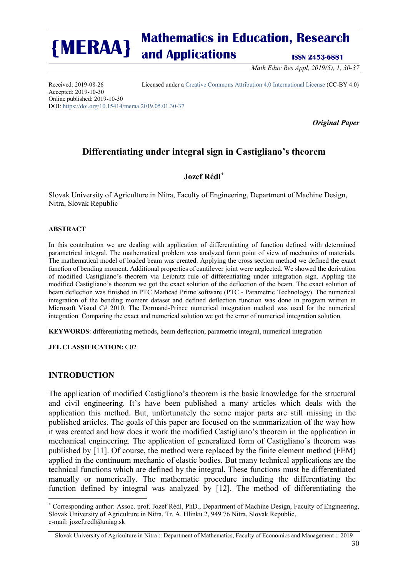*Math Educ Res Appl, 2019(5), 1, 30-37*

Accepted: 2019-10-30 Online published: 2019-10-30 DOI[: https://doi.org/10.15414/meraa.2019.05.01.30-37](https://doi.org/10.15414/meraa.2019.05.01.30-37)

Received: 2019-08-26 Licensed under a [Creative Commons Attribution 4.0 International License](http://creativecommons.org/licenses/by/4.0/) (CC-BY 4.0)

*Original Paper*

## **Differentiating under integral sign in Castigliano's theorem**

## **Jozef Rédl**[∗](#page-0-0)

Slovak University of Agriculture in Nitra, Faculty of Engineering, Department of Machine Design, Nitra, Slovak Republic

## **ABSTRACT**

In this contribution we are dealing with application of differentiating of function defined with determined parametrical integral. The mathematical problem was analyzed form point of view of mechanics of materials. The mathematical model of loaded beam was created. Applying the cross section method we defined the exact function of bending moment. Additional properties of cantilever joint were neglected. We showed the derivation of modified Castigliano's theorem via Leibnitz rule of differentiating under integration sign. Appling the modified Castigliano's theorem we got the exact solution of the deflection of the beam. The exact solution of beam deflection was finished in PTC Mathcad Prime software (PTC - Parametric Technology). The numerical integration of the bending moment dataset and defined deflection function was done in program written in Microsoft Visual C# 2010. The Dormand-Prince numerical integration method was used for the numerical integration. Comparing the exact and numerical solution we got the error of numerical integration solution.

**KEYWORDS**: differentiating methods, beam deflection, parametric integral, numerical integration

**JEL CLASSIFICATION:** C02

## **INTRODUCTION**

<u>.</u>

The application of modified Castigliano's theorem is the basic knowledge for the structural and civil engineering. It's have been published a many articles which deals with the application this method. But, unfortunately the some major parts are still missing in the published articles. The goals of this paper are focused on the summarization of the way how it was created and how does it work the modified Castigliano's theorem in the application in mechanical engineering. The application of generalized form of Castigliano's theorem was published by [11]. Of course, the method were replaced by the finite element method (FEM) applied in the continuum mechanic of elastic bodies. But many technical applications are the technical functions which are defined by the integral. These functions must be differentiated manually or numerically. The mathematic procedure including the differentiating the function defined by integral was analyzed by [12]. The method of differentiating the

<span id="page-0-0"></span><sup>∗</sup> Corresponding author: Assoc. prof. Jozef Rédl, PhD., Department of Machine Design, Faculty of Engineering, Slovak University of Agriculture in Nitra, Tr. A. Hlinku 2, 949 76 Nitra, Slovak Republic, e-mail: jozef.redl@uniag.sk

Slovak University of Agriculture in Nitra :: Department of Mathematics, Faculty of Economics and Management :: 2019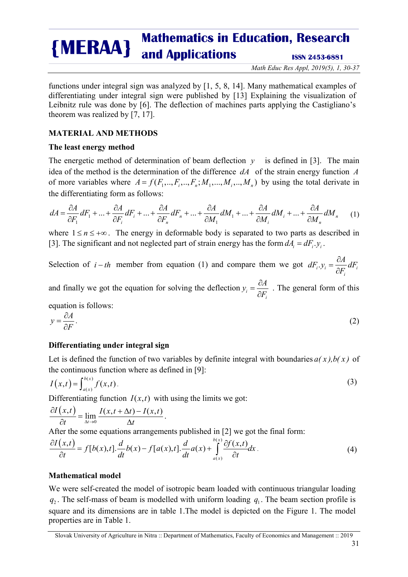*Math Educ Res Appl, 2019(5), 1, 30-37*

functions under integral sign was analyzed by [1, 5, 8, 14]. Many mathematical examples of differentiating under integral sign were published by [13] Explaining the visualization of Leibnitz rule was done by [6]. The deflection of machines parts applying the Castigliano's theorem was realized by [7, 17].

## **MATERIAL AND METHODS**

## **The least energy method**

The energetic method of determination of beam deflection  $y$  is defined in [3]. The main idea of the method is the determination of the difference *dA* of the strain energy function *A* of more variables where  $A = f(F_1, ..., F_i, ..., F_n; M_1, ..., M_i, ..., M_n)$  by using the total derivate in the differentiating form as follows:

$$
dA = \frac{\partial A}{\partial F_1} dF_1 + \dots + \frac{\partial A}{\partial F_i} dF_i + \dots + \frac{\partial A}{\partial F_n} dF_n + \dots + \frac{\partial A}{\partial M_1} dM_1 + \dots + \frac{\partial A}{\partial M_i} dM_i + \dots + \frac{\partial A}{\partial M_n} dM_n \tag{1}
$$

where  $1 \le n \le +\infty$ . The energy in deformable body is separated to two parts as described in [3]. The significant and not neglected part of strain energy has the form  $dA_i = dF_i$ ,  $y_i$ .

Selection of *i* − *th* member from equation (1) and compare them we got  $dF_i y_i = \frac{\partial A}{\partial F_i} dF_i$ *i*

and finally we got the equation for solving the deflection  $y_i$ *i*  $y_i = \frac{\partial A}{\partial F_i}$ . The general form of this

equation is follows:

$$
y = \frac{\partial A}{\partial F}.
$$
 (2)

## **Differentiating under integral sign**

Let is defined the function of two variables by definite integral with boundaries  $a(x)$ ,  $b(x)$  of the continuous function where as defined in [9]:

$$
I(x,t) = \int_{a(x)}^{b(x)} f(x,t).
$$
 (3)

Differentiating function  $I(x,t)$  with using the limits we got:

$$
\frac{\partial I(x,t)}{\partial t} = \lim_{\Delta t \to 0} \frac{I(x,t + \Delta t) - I(x,t)}{\Delta t}.
$$

After the some equations arrangements published in [2] we got the final form:

$$
\frac{\partial I(x,t)}{\partial t} = f[b(x),t].\frac{d}{dt}b(x) - f[a(x),t].\frac{d}{dt}a(x) + \int_{a(x)}^{b(x)} \frac{\partial f(x,t)}{\partial t}dx.
$$
 (4)

## **Mathematical model**

We were self-created the model of isotropic beam loaded with continuous triangular loading  $q_1$ . The self-mass of beam is modelled with uniform loading  $q_1$ . The beam section profile is square and its dimensions are in table 1.The model is depicted on the Figure 1. The model properties are in Table 1.

Slovak University of Agriculture in Nitra :: Department of Mathematics, Faculty of Economics and Management :: 2019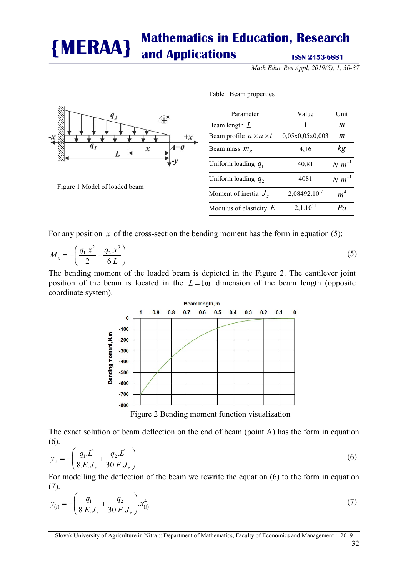*Math Educ Res Appl, 2019(5), 1, 30-37*



Table1 Beam properties

| Parameter                          | Value             | Unit             |
|------------------------------------|-------------------|------------------|
| Beam length $L$                    |                   | m                |
| Beam profile $a \times a \times t$ | 0,05x0,05x0,003   | $\boldsymbol{m}$ |
| Beam mass $m_R$                    | 4,16              | kg               |
| Uniform loading $q_1$              | 40,81             | $N.m^{-1}$       |
| Uniform loading $q_2$              | 4081              | $N.m^{-1}$       |
| Moment of inertia $Jz$             | $2,08492.10^{-7}$ | m <sup>4</sup>   |
| Modulus of elasticity $E$          | $2,1.10^{11}$     | Pa               |

Figure 1 Model of loaded beam

For any position  $x$  of the cross-section the bending moment has the form in equation (5):

$$
M_x = -\left(\frac{q_1 x^2}{2} + \frac{q_2 x^3}{6L}\right)
$$

(5)

The bending moment of the loaded beam is depicted in the Figure 2. The cantilever joint position of the beam is located in the  $L = 1m$  dimension of the beam length (opposite coordinate system).



Figure 2 Bending moment function visualization

The exact solution of beam deflection on the end of beam (point A) has the form in equation (6).

$$
y_A = -\left(\frac{q_1 \cdot L^4}{8 \cdot E \cdot J_z} + \frac{q_2 \cdot L^4}{30 \cdot E \cdot J_z}\right) \tag{6}
$$

For modelling the deflection of the beam we rewrite the equation (6) to the form in equation (7).

$$
y_{(i)} = -\left(\frac{q_1}{8.E.J_z} + \frac{q_2}{30.E.J_z}\right).x_{(i)}^4
$$
 (7)

Slovak University of Agriculture in Nitra :: Department of Mathematics, Faculty of Economics and Management :: 2019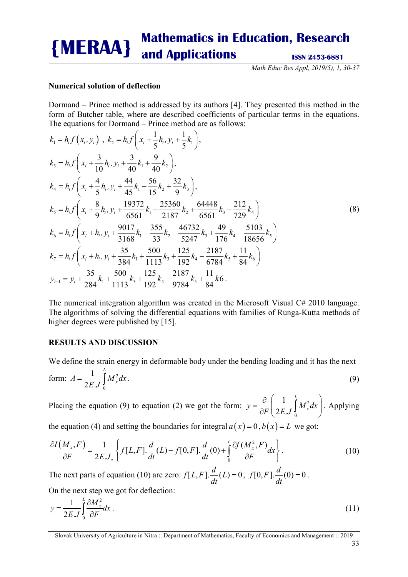*Math Educ Res Appl, 2019(5), 1, 30-37*

## **Numerical solution of deflection**

Dormand – Prince method is addressed by its authors [4]. They presented this method in the form of Butcher table, where are described coefficients of particular terms in the equations. The equations for Dormand – Prince method are as follows:

$$
k_{1} = h_{i} f(x_{i}, y_{i}), k_{2} = h_{i} f\left(x_{i} + \frac{1}{5} h_{i}, y_{i} + \frac{1}{5} k_{1}\right),
$$
  
\n
$$
k_{3} = h_{i} f\left(x_{i} + \frac{3}{10} h_{i}, y_{i} + \frac{3}{40} k_{1} + \frac{9}{40} k_{2}\right),
$$
  
\n
$$
k_{4} = h_{i} f\left(x_{i} + \frac{4}{5} h_{i}, y_{i} + \frac{44}{45} k_{1} - \frac{56}{15} k_{2} + \frac{32}{9} k_{3}\right),
$$
  
\n
$$
k_{5} = h_{i} f\left(x_{i} + \frac{8}{9} h_{i}, y_{i} + \frac{19372}{6561} k_{1} - \frac{25360}{2187} k_{2} + \frac{64448}{6561} k_{3} - \frac{212}{729} k_{4}\right)
$$
  
\n
$$
k_{6} = h_{i} f\left(x_{i} + h_{i}, y_{i} + \frac{9017}{3168} k_{1} - \frac{355}{33} k_{2} - \frac{46732}{5247} k_{3} + \frac{49}{176} k_{4} - \frac{5103}{18656} k_{5}\right)
$$
  
\n
$$
k_{7} = h_{i} f\left(x_{i} + h_{i}, y_{i} + \frac{35}{384} k_{1} + \frac{500}{1113} k_{3} + \frac{125}{192} k_{4} - \frac{2187}{6784} k_{5} + \frac{11}{84} k_{6}\right)
$$
  
\n
$$
y_{i+1} = y_{i} + \frac{35}{284} k_{1} + \frac{500}{1113} k_{3} + \frac{125}{192} k_{4} - \frac{2187}{9784} k_{5} + \frac{11}{84} k_{6}
$$

The numerical integration algorithm was created in the Microsoft Visual C# 2010 language. The algorithms of solving the differential equations with families of Runga-Kutta methods of higher degrees were published by [15].

#### **RESULTS AND DISCUSSION**

We define the strain energy in deformable body under the bending loading and it has the next

form: 
$$
A = \frac{1}{2E \cdot J} \int_{0}^{L} M_x^2 dx
$$
. (9)

Placing the equation (9) to equation (2) we got the form:  $y = \frac{c}{2E} \left| \frac{1}{2E} \right| M_x^2$  $\mathbf 0$ 1  $2E$ . *L*  $y = \frac{\partial}{\partial F} \left( \frac{1}{2E J} \int_0^L M_x^2 dx \right)$ . Applying

the equation (4) and setting the boundaries for integral  $a(x) = 0$ ,  $b(x) = L$  we got:

$$
\frac{\partial I(M_x, F)}{\partial F} = \frac{1}{2EJ_z} \left\{ f[L, F], \frac{d}{dt}(L) - f[0, F], \frac{d}{dt}(0) + \int_0^L \frac{\partial f(M_x^2, F)}{\partial F} dx \right\}.
$$
\n(10)

The next parts of equation (10) are zero:  $f[L, F] \frac{d}{dt}(L) = 0$ ,  $f[0, F] \frac{d}{dt}(0) = 0$ . On the next step we got for deflection:

$$
y = \frac{1}{2EJ} \int_0^L \frac{\partial M_x^2}{\partial F} dx
$$
 (11)

Slovak University of Agriculture in Nitra :: Department of Mathematics, Faculty of Economics and Management :: 2019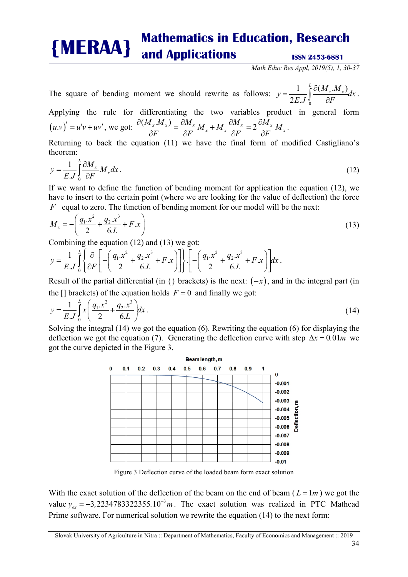*Math Educ Res Appl, 2019(5), 1, 30-37*

The square of bending moment we should rewrite as follows:  $y = \frac{1}{2E} \int_{0}^{1} \frac{\partial (M_x \cdot M_x)}{\partial T_x}$  $\boldsymbol{0}$  $2E$ .  $y = \frac{1}{2E} \int_{0}^{L} \frac{\partial (M_x.M_x)}{\partial T} dx$  $=\frac{1}{2E.J}\int_{0}^{L}\frac{\partial(M_{x}.M_{x})}{\partial F}dx.$ 

Applying the rule for differentiating the two variables product in general form  $(u.v)' = u'v + uv'$ , we got:  $\frac{\partial (M_x.M_x)}{\partial F} = \frac{\partial M_x}{\partial F}M_x + M_x \frac{\partial M_x}{\partial F} = 2 \frac{\partial M_x}{\partial F}M_x$  $F$   $\partial F$   $\frac{x}{f}$   $\partial F$   $\partial F$  $\frac{\partial (M_x.M_x)}{\partial F} = \frac{\partial M_x}{\partial F} M_x + M_x \frac{\partial M_x}{\partial F} = 2 \frac{\partial M_x}{\partial F} M_x$ .

Returning to back the equation (11) we have the final form of modified Castigliano's theorem:

$$
y = \frac{1}{EJ} \int_{0}^{L} \frac{\partial M_x}{\partial F} M_x dx \,. \tag{12}
$$

If we want to define the function of bending moment for application the equation (12), we have to insert to the certain point (where we are looking for the value of deflection) the force *F* equal to zero. The function of bending moment for our model will be the next:

$$
M_x = -\left(\frac{q_1 x^2}{2} + \frac{q_2 x^3}{6L} + F.x\right)
$$
 (13)

Combining the equation (12) and (13) we got:

$$
y = \frac{1}{E J} \int_{0}^{L} \left\{ \frac{\partial}{\partial F} \left[ - \left( \frac{q_1 x^2}{2} + \frac{q_2 x^3}{6L} + F.x \right) \right] \right\} \cdot \left[ - \left( \frac{q_1 x^2}{2} + \frac{q_2 x^3}{6L} + F.x \right) \right] dx.
$$

Result of the partial differential (in  $\{\}$  brackets) is the next:  $(-x)$ , and in the integral part (in the  $\Box$  brackets) of the equation holds  $F = 0$  and finally we got:

$$
y = \frac{1}{E J} \int_{0}^{L} x \left( \frac{q_1 x^2}{2} + \frac{q_2 x^3}{6L} \right) dx \,. \tag{14}
$$

Solving the integral (14) we got the equation (6). Rewriting the equation (6) for displaying the deflection we got the equation (7). Generating the deflection curve with step  $\Delta x = 0.01m$  we got the curve depicted in the Figure 3.



Figure 3 Deflection curve of the loaded beam form exact solution

With the exact solution of the deflection of the beam on the end of beam ( $L = 1m$ ) we got the value  $y_{ex} = -3.2234783322355.10^{-3}m$ . The exact solution was realized in PTC Mathcad Prime software. For numerical solution we rewrite the equation (14) to the next form:

Slovak University of Agriculture in Nitra :: Department of Mathematics, Faculty of Economics and Management :: 2019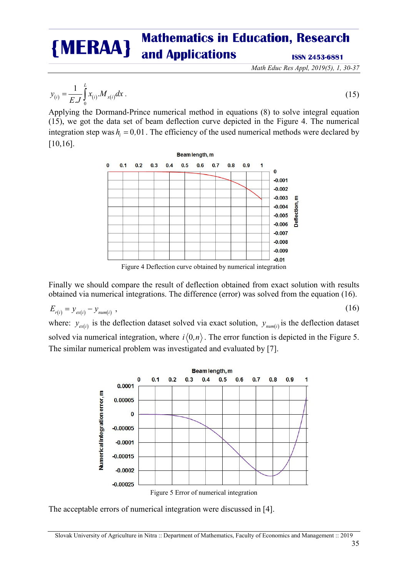*Math Educ Res Appl, 2019(5), 1, 30-37*

$$
y_{(i)} = \frac{1}{EJ} \int_{0}^{L} x_{(i)} M_{x(i)} dx
$$
 (15)

Applying the Dormand-Prince numerical method in equations (8) to solve integral equation (15), we got the data set of beam deflection curve depicted in the Figure 4. The numerical integration step was  $h_i = 0.01$ . The efficiency of the used numerical methods were declared by [10,16].

Beam length, m

 $\bf{0}$  $0.1$  $0.2$  $0.3$  $0.4$  $0.5$  $0.6$  $0.7$  $0.8$  $0.9$  $\blacksquare$  $\bf{0}$  $-0.001$  $-0.002$  $-0.003$ E **Deflection**  $-0.004$  $-0.005$  $-0.006$  $-0.007$  $-0.008$  $-0.009$  $-0.01$ 

Figure 4 Deflection curve obtained by numerical integration

Finally we should compare the result of deflection obtained from exact solution with results obtained via numerical integrations. The difference (error) was solved from the equation (16).

$$
E_{r(i)} = y_{ex(i)} - y_{num(i)} \tag{16}
$$

where:  $y_{\text{ex}(i)}$  is the deflection dataset solved via exact solution,  $y_{\text{num}(i)}$  is the deflection dataset solved via numerical integration, where  $i\langle 0, n \rangle$ . The error function is depicted in the Figure 5. The similar numerical problem was investigated and evaluated by [7].



The acceptable errors of numerical integration were discussed in [4].

Slovak University of Agriculture in Nitra :: Department of Mathematics, Faculty of Economics and Management :: 2019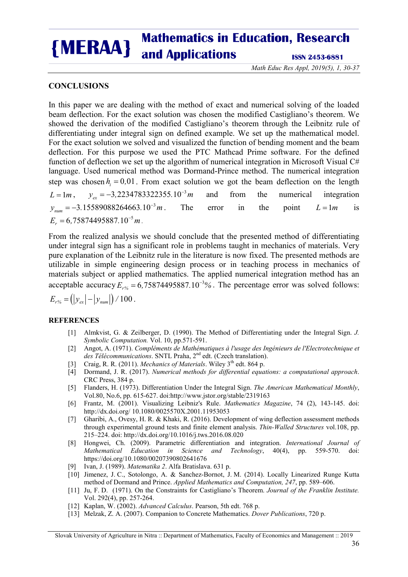*Math Educ Res Appl, 2019(5), 1, 30-37*

## **CONCLUSIONS**

In this paper we are dealing with the method of exact and numerical solving of the loaded beam deflection. For the exact solution was chosen the modified Castigliano's theorem. We showed the derivation of the modified Castigliano's theorem through the Leibnitz rule of differentiating under integral sign on defined example. We set up the mathematical model. For the exact solution we solved and visualized the function of bending moment and the beam deflection. For this purpose we used the PTC Mathcad Prime software. For the defined function of deflection we set up the algorithm of numerical integration in Microsoft Visual  $C#$ language. Used numerical method was Dormand-Prince method. The numerical integration step was chosen  $h_i = 0.01$ . From exact solution we got the beam deflection on the length  $L = 1 m$ ,  $y_{ex} = -3.2234783322355.10^{-3} m$  and from the numerical integration  $y_{num} = -3.15589088264663.10^{-3}m$ . The error in the point  $L = 1m$  is  $E_r = 6,75874495887.10^{-5} m.$ 

From the realized analysis we should conclude that the presented method of differentiating under integral sign has a significant role in problems taught in mechanics of materials. Very pure explanation of the Leibnitz rule in the literature is now fixed. The presented methods are utilizable in simple engineering design process or in teaching process in mechanics of materials subject or applied mathematics. The applied numerical integration method has an acceptable accuracy  $E_{r\%} = 6.75874495887.10^{-3}\%$ . The percentage error was solved follows:

# $E_{r\%} = ( |y_{\text{ex}}| - |y_{\text{num}}| ) / 100$ .

## **REFERENCES**

- [1] Almkvist, G. & Zeilberger, D. (1990). The Method of Differentiating under the Integral Sign. *J. Symbolic Computation.* Vol. 10, pp.571-591.
- [2] Angot, A. (1971). *Compléments de Mathématiques à l'usage des Ingénieurs de l'Electrotechnique et*  des Télécommunications. SNTL Praha, 2<sup>nd</sup> edt. (Czech translation).
- [3] Craig, R. R. (2011). *Mechanics of Materials*. Wiley 3<sup>th</sup> edt. 864 p.
- [4] Dormand, J. R. (2017). *Numerical methods for differential equations: a computational approach*. CRC Press, 384 p.
- [5] Flanders, H. (1973). Differentiation Under the Integral Sign. *The American Mathematical Monthly*, Vol.80, No.6, pp. 615-627. doi:http://www.jstor.org/stable/2319163
- [6] Frantz, M. (2001). Visualizing Leibniz's Rule. *Mathematics Magazine*, 74 (2), 143-145. doi: http://dx.doi.org/ 10.1080/0025570X.2001.11953053
- [7] Gharibi, A., Ovesy, H. R. & Khaki, R. (2016). Development of wing deflection assessment methods through experimental ground tests and finite element analysis. *Thin-Walled Structures* vol.108, pp. 215–224. doi: http://dx.doi.org/10.1016/j.tws.2016.08.020
- [8] Hongwei, Ch. (2009). Parametric differentiation and integration. *International Journal of Mathematical Education in Science and Technology*, 40(4), pp. 559-570. doi: https://doi.org/10.1080/00207390802641676
- [9] Ivan, J. (1989). *Matematika 2*. Alfa Bratislava. 631 p.
- [10] Jimenez, J. C., Sotolongo, A. & Sanchez-Bornot, J. M. (2014). Locally Linearized Runge Kutta method of Dormand and Prince. *Applied Mathematics and Computation, 247*, pp. 589–606.
- [11] Ju, F. D. (1971). On the Constraints for Castigliano's Theorem. *Journal of the Franklin Institute.* Vol. 292(4), pp. 257-264.
- [12] Kaplan, W. (2002). *Advanced Calculus*. Pearson, 5th edt. 768 p.
- [13] Melzak, Z. A. (2007). Companion to Concrete Mathematics. *Dover Publications*, 720 p.